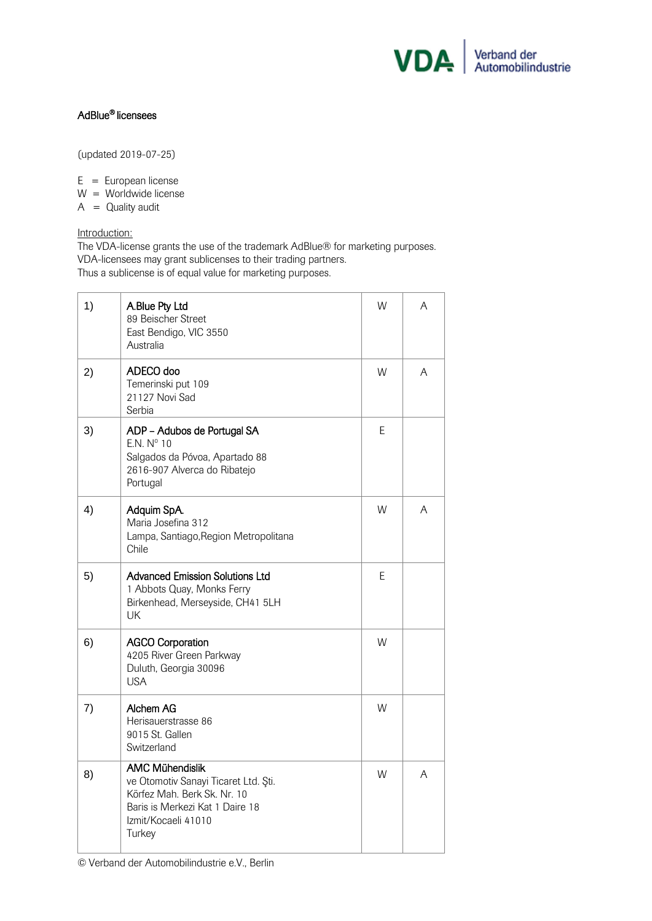

## AdBlue® licensees

(updated 2019-07-25)

 $E = European license$ W = Worldwide license

 $A =$  Quality audit

## Introduction:

The VDA-license grants the use of the trademark AdBlue® for marketing purposes. VDA-licensees may grant sublicenses to their trading partners. Thus a sublicense is of equal value for marketing purposes.

| 1) | A.Blue Pty Ltd<br>89 Beischer Street<br>East Bendigo, VIC 3550<br>Australia                                                                                       | W | A |
|----|-------------------------------------------------------------------------------------------------------------------------------------------------------------------|---|---|
| 2) | ADECO doo<br>Temerinski put 109<br>21127 Novi Sad<br>Serbia                                                                                                       | W | A |
| 3) | ADP - Adubos de Portugal SA<br>E.N. Nº 10<br>Salgados da Póvoa, Apartado 88<br>2616-907 Alverca do Ribatejo<br>Portugal                                           | E |   |
| 4) | Adquim SpA.<br>Maria Josefina 312<br>Lampa, Santiago, Region Metropolitana<br>Chile                                                                               | W | Α |
| 5) | Advanced Emission Solutions Ltd<br>1 Abbots Quay, Monks Ferry<br>Birkenhead, Merseyside, CH41 5LH<br>UK                                                           | E |   |
| 6) | <b>AGCO Corporation</b><br>4205 River Green Parkway<br>Duluth, Georgia 30096<br><b>USA</b>                                                                        | W |   |
| 7) | Alchem AG<br>Herisauerstrasse 86<br>9015 St. Gallen<br>Switzerland                                                                                                | W |   |
| 8) | <b>AMC Mühendislik</b><br>ve Otomotiv Sanayi Ticaret Ltd. Şti.<br>Körfez Mah, Berk Sk, Nr, 10<br>Baris is Merkezi Kat 1 Daire 18<br>Izmit/Kocaeli 41010<br>Turkey | W | A |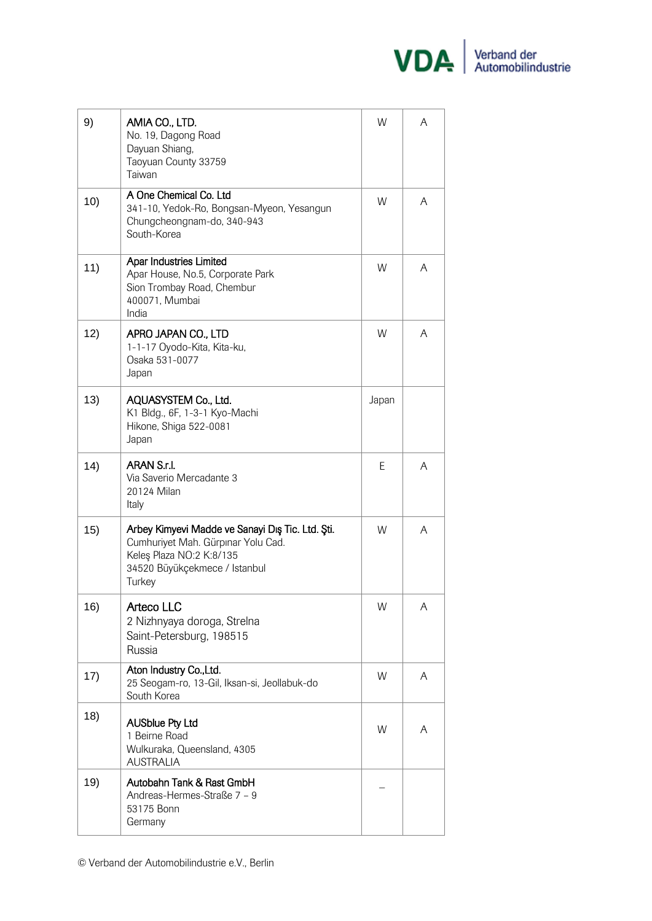

| 9)  | AMIA CO., LTD.<br>No. 19, Dagong Road<br>Dayuan Shiang,<br>Taoyuan County 33759<br>Taiwan                                                                     | W     | A |
|-----|---------------------------------------------------------------------------------------------------------------------------------------------------------------|-------|---|
| 10) | A One Chemical Co. Ltd<br>341-10, Yedok-Ro, Bongsan-Myeon, Yesangun<br>Chungcheongnam-do, 340-943<br>South-Korea                                              | W     | A |
| 11) | Apar Industries Limited<br>Apar House, No.5, Corporate Park<br>Sion Trombay Road, Chembur<br>400071, Mumbai<br>India                                          | W     | A |
| 12) | APRO JAPAN CO., LTD<br>1-1-17 Oyodo-Kita, Kita-ku,<br>Osaka 531-0077<br>Japan                                                                                 | W     | A |
| 13) | AQUASYSTEM Co., Ltd.<br>K1 Bldg., 6F, 1-3-1 Kyo-Machi<br>Hikone, Shiga 522-0081<br>Japan                                                                      | Japan |   |
| 14) | ARAN S.r.l.<br>Via Saverio Mercadante 3<br>20124 Milan<br>Italy                                                                                               | E     | A |
| 15) | Arbey Kimyevi Madde ve Sanayi Dış Tic. Ltd. Şti.<br>Cumhuriyet Mah. Gürpınar Yolu Cad.<br>Keleş Plaza NO:2 K:8/135<br>34520 Büyükçekmece / Istanbul<br>Turkey | W     | A |
| 16) | <b>Arteco LLC</b><br>2 Nizhnyaya doroga, Strelna<br>Saint-Petersburg, 198515<br>Russia                                                                        | W     | A |
| 17) | Aton Industry Co., Ltd.<br>25 Seogam-ro, 13-Gil, Iksan-si, Jeollabuk-do<br>South Korea                                                                        | W     | A |
| 18) | <b>AUSblue Pty Ltd</b><br>1 Beirne Road<br>Wulkuraka, Queensland, 4305<br><b>AUSTRALIA</b>                                                                    | W     | A |
| 19) | Autobahn Tank & Rast GmbH<br>Andreas-Hermes-Straße 7 - 9<br>53175 Bonn<br>Germany                                                                             |       |   |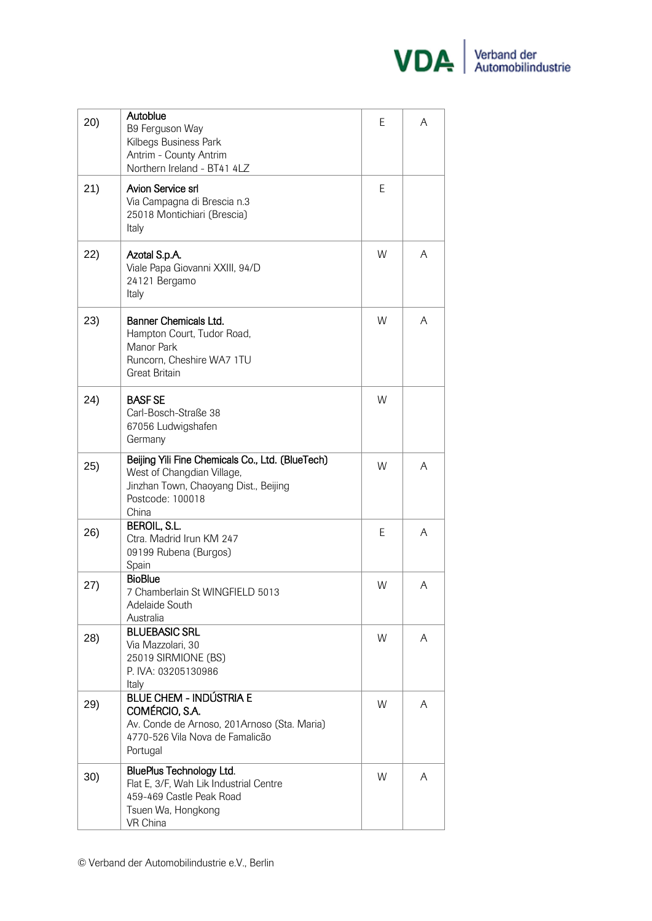

| 20) | Autoblue<br>B9 Ferguson Way<br>Kilbegs Business Park<br>Antrim - County Antrim<br>Northern Ireland - BT41 4LZ                                        | E | A |
|-----|------------------------------------------------------------------------------------------------------------------------------------------------------|---|---|
| 21) | Avion Service srl<br>Via Campagna di Brescia n.3<br>25018 Montichiari (Brescia)<br>Italy                                                             | Е |   |
| 22) | Azotal S.p.A.<br>Viale Papa Giovanni XXIII, 94/D<br>24121 Bergamo<br>Italy                                                                           | W | A |
| 23) | Banner Chemicals Ltd.<br>Hampton Court, Tudor Road,<br>Manor Park<br>Runcorn, Cheshire WA7 1TU<br><b>Great Britain</b>                               | W | A |
| 24) | <b>BASFSE</b><br>Carl-Bosch-Straße 38<br>67056 Ludwigshafen<br>Germany                                                                               | W |   |
| 25) | Beijing Yili Fine Chemicals Co., Ltd. (BlueTech)<br>West of Changdian Village,<br>Jinzhan Town, Chaoyang Dist., Beijing<br>Postcode: 100018<br>China | W | A |
| 26) | <b>BEROIL, S.L.</b><br>Ctra. Madrid Irun KM 247<br>09199 Rubena (Burgos)<br>Spain                                                                    | E | A |
| 27) | <b>BioBlue</b><br>7 Chamberlain St WINGFIELD 5013<br>Adelaide South<br>Australia                                                                     | W | A |
| 28) | <b>BLUEBASIC SRL</b><br>Via Mazzolari, 30<br>25019 SIRMIONE (BS)<br>P. IVA: 03205130986<br>Italy                                                     | W | A |
| 29) | <b>BLUE CHEM - INDÚSTRIA E</b><br>COMÉRCIO, S.A.<br>Av. Conde de Arnoso, 201Arnoso (Sta. Maria)<br>4770-526 Vila Nova de Famalicão<br>Portugal       | W | A |
| 30) | <b>BluePlus Technology Ltd.</b><br>Flat E, 3/F, Wah Lik Industrial Centre<br>459-469 Castle Peak Road<br>Tsuen Wa, Hongkong<br>VR China              | W | A |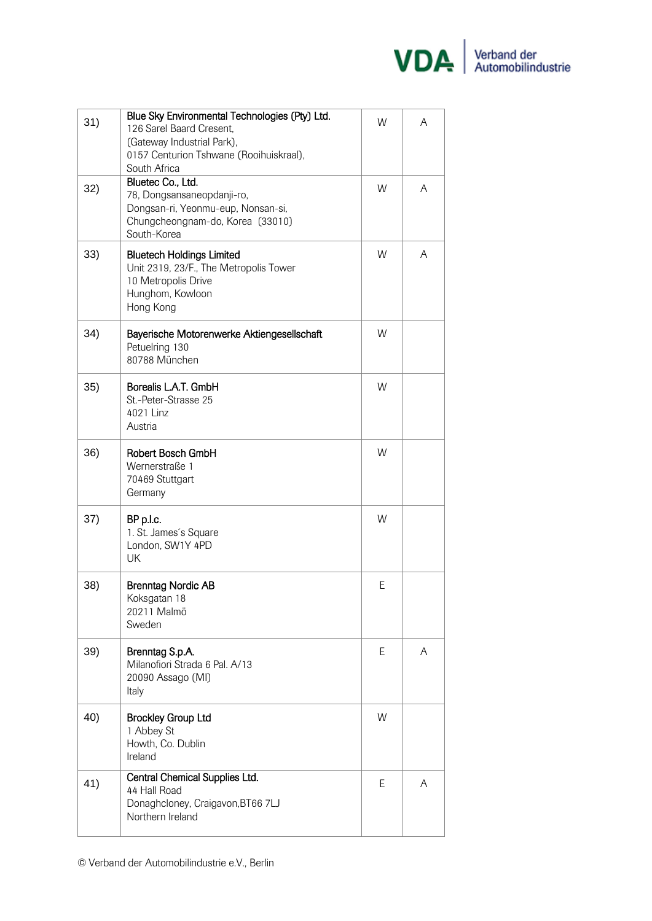

| 31) | Blue Sky Environmental Technologies (Pty) Ltd.<br>126 Sarel Baard Cresent,<br>(Gateway Industrial Park),<br>0157 Centurion Tshwane (Rooihuiskraal),<br>South Africa | W  | A |
|-----|---------------------------------------------------------------------------------------------------------------------------------------------------------------------|----|---|
| 32) | Bluetec Co., Ltd.<br>78, Dongsansaneopdanji-ro,<br>Dongsan-ri, Yeonmu-eup, Nonsan-si,<br>Chungcheongnam-do, Korea (33010)<br>South-Korea                            | W  | A |
| 33) | <b>Bluetech Holdings Limited</b><br>Unit 2319, 23/F., The Metropolis Tower<br>10 Metropolis Drive<br>Hunghom, Kowloon<br>Hong Kong                                  | W  | A |
| 34) | Bayerische Motorenwerke Aktiengesellschaft<br>Petuelring 130<br>80788 München                                                                                       | W  |   |
| 35) | Borealis L.A.T. GmbH<br>St.-Peter-Strasse 25<br>4021 Linz<br>Austria                                                                                                | W  |   |
| 36) | Robert Bosch GmbH<br>Wernerstraße 1<br>70469 Stuttgart<br>Germany                                                                                                   | W  |   |
| 37) | BP p.l.c.<br>1. St. James's Square<br>London, SW1Y 4PD<br>UK                                                                                                        | W  |   |
| 38) | <b>Brenntag Nordic AB</b><br>Koksgatan 18<br>20211 Malmö<br>Sweden                                                                                                  | Ε  |   |
| 39) | Brenntag S.p.A.<br>Milanofiori Strada 6 Pal, A/13<br>20090 Assago (MI)<br>Italy                                                                                     | E. | A |
| 40) | <b>Brockley Group Ltd</b><br>1 Abbey St<br>Howth, Co. Dublin<br>Ireland                                                                                             | W  |   |
| 41) | Central Chemical Supplies Ltd.<br>44 Hall Road<br>Donaghcloney, Craigavon, BT66 7LJ<br>Northern Ireland                                                             | E  | A |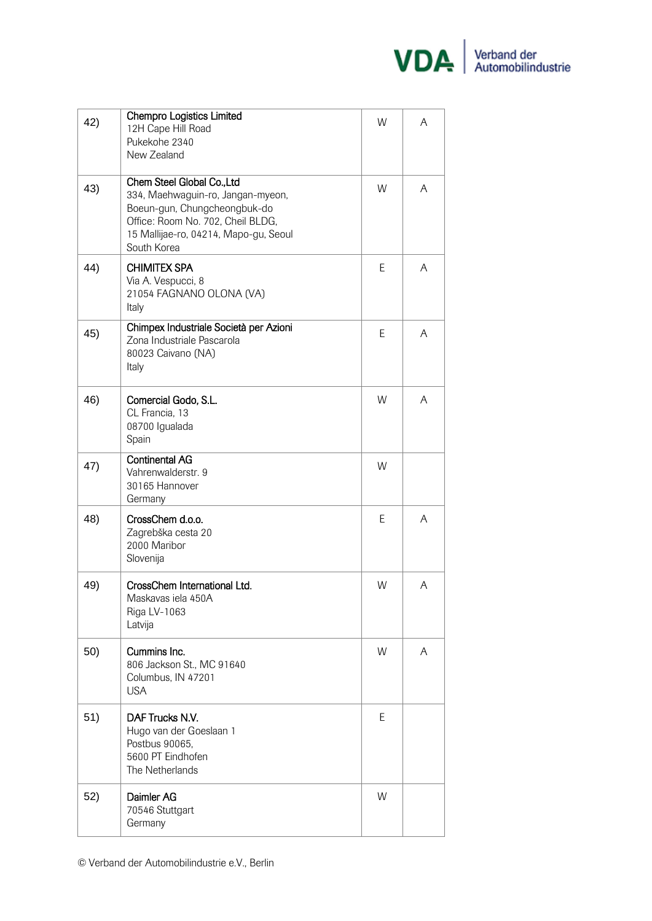

| 42) | <b>Chempro Logistics Limited</b><br>12H Cape Hill Road<br>Pukekohe 2340<br>New Zealand                                                                                                       | W | A |
|-----|----------------------------------------------------------------------------------------------------------------------------------------------------------------------------------------------|---|---|
| 43) | Chem Steel Global Co., Ltd<br>334, Maehwaguin-ro, Jangan-myeon,<br>Boeun-gun, Chungcheongbuk-do<br>Office: Room No. 702, Cheil BLDG,<br>15 Mallijae-ro, 04214, Mapo-gu, Seoul<br>South Korea | W | A |
| 44) | <b>CHIMITEX SPA</b><br>Via A. Vespucci, 8<br>21054 FAGNANO OLONA (VA)<br>Italy                                                                                                               | Ε | A |
| 45) | Chimpex Industriale Società per Azioni<br>Zona Industriale Pascarola<br>80023 Caivano (NA)<br>Italy                                                                                          | E | A |
| 46) | Comercial Godo, S.L.<br>CL Francia, 13<br>08700 Igualada<br>Spain                                                                                                                            | W | A |
| 47) | <b>Continental AG</b><br>Vahrenwalderstr. 9<br>30165 Hannover<br>Germany                                                                                                                     | W |   |
| 48) | CrossChem d.o.o.<br>Zagrebška cesta 20<br>2000 Maribor<br>Slovenija                                                                                                                          | Ε | A |
| 49) | CrossChem International Ltd.<br>Maskavas iela 450A<br>Riga LV-1063<br>Latvija                                                                                                                | W | A |
| 50) | Cummins Inc.<br>806 Jackson St., MC 91640<br>Columbus, IN 47201<br><b>USA</b>                                                                                                                | W | A |
| 51) | DAF Trucks N.V.<br>Hugo van der Goeslaan 1<br>Postbus 90065,<br>5600 PT Eindhofen<br>The Netherlands                                                                                         | E |   |
| 52) | Daimler AG<br>70546 Stuttgart<br>Germany                                                                                                                                                     | W |   |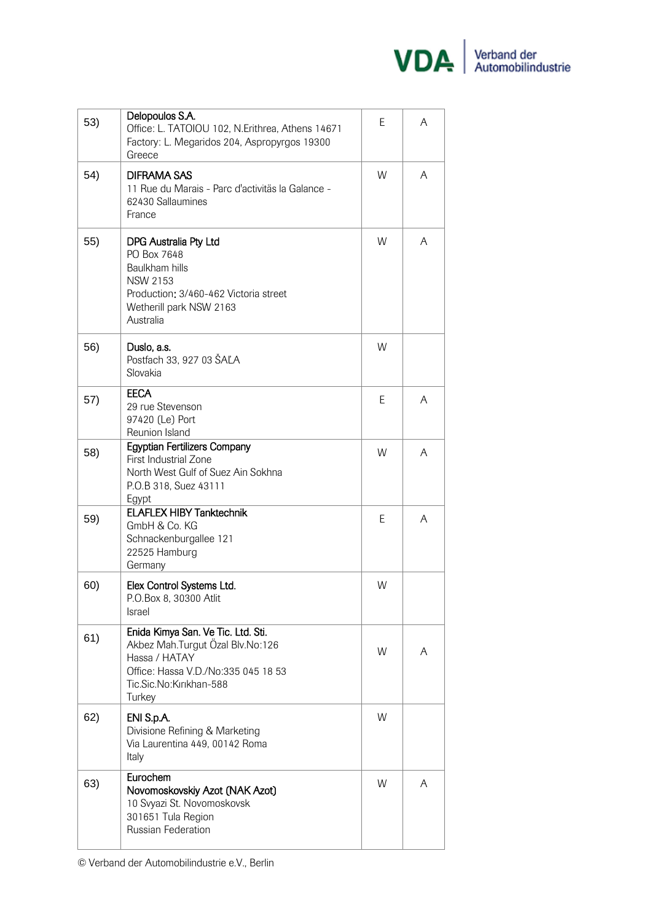

| 53) | Delopoulos S.A.<br>Office: L. TATOIOU 102, N. Erithrea, Athens 14671<br>Factory: L. Megaridos 204, Aspropyrgos 19300<br>Greece                                      | E | A |
|-----|---------------------------------------------------------------------------------------------------------------------------------------------------------------------|---|---|
| 54) | <b>DIFRAMA SAS</b><br>11 Rue du Marais - Parc d'activitäs la Galance -<br>62430 Sallaumines<br>France                                                               | W | A |
| 55) | <b>DPG Australia Pty Ltd</b><br>PO Box 7648<br>Baulkham hills<br><b>NSW 2153</b><br>Production: 3/460-462 Victoria street<br>Wetherill park NSW 2163<br>Australia   | W | A |
| 56) | Duslo, a.s.<br>Postfach 33, 927 03 ŠAĽA<br>Slovakia                                                                                                                 | W |   |
| 57) | <b>EECA</b><br>29 rue Stevenson<br>97420 (Le) Port<br>Reunion Island                                                                                                | Е | A |
| 58) | <b>Egyptian Fertilizers Company</b><br>First Industrial Zone<br>North West Gulf of Suez Ain Sokhna<br>P.O.B 318, Suez 43111<br>Egypt                                | W | A |
| 59) | <b>ELAFLEX HIBY Tanktechnik</b><br>GmbH & Co. KG<br>Schnackenburgallee 121<br>22525 Hamburg<br>Germany                                                              | E | A |
| 60) | Elex Control Systems Ltd.<br>P.O.Box 8, 30300 Atlit<br>Israel                                                                                                       | W |   |
| 61) | Enida Kimya San. Ve Tic. Ltd. Sti.<br>Akbez Mah.Turgut Özal Blv.No:126<br>Hassa / HATAY<br>Office: Hassa V.D./No:335 045 18 53<br>Tic.Sic.No:Kırıkhan-588<br>Turkey | W | A |
| 62) | ENI S.p.A.<br>Divisione Refining & Marketing<br>Via Laurentina 449, 00142 Roma<br>Italy                                                                             | W |   |
| 63) | Eurochem<br>Novomoskovskiy Azot (NAK Azot)<br>10 Svyazi St. Novomoskovsk<br>301651 Tula Region<br>Russian Federation                                                | W | A |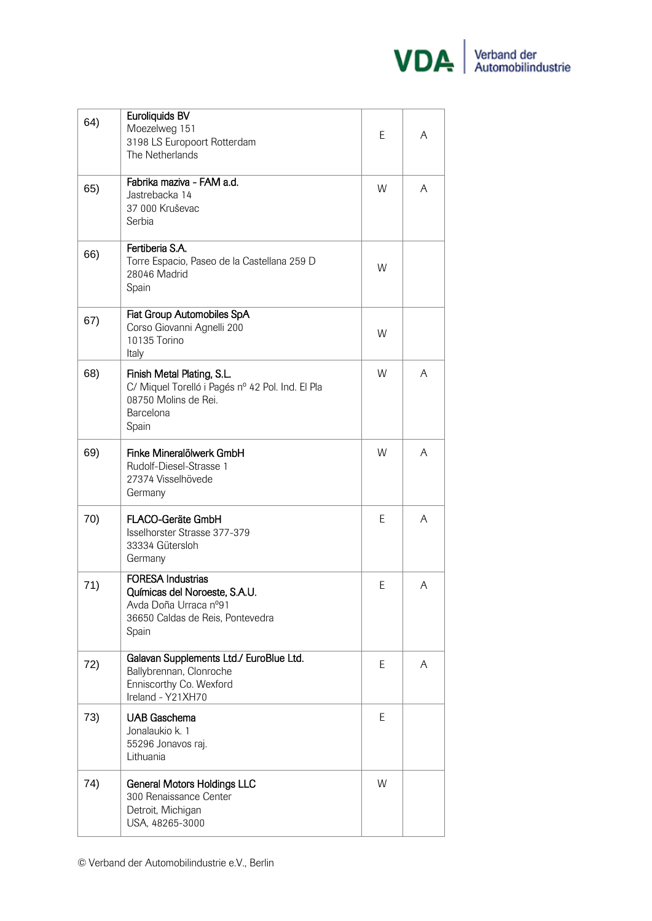

| 64) | Euroliquids BV<br>Moezelweg 151<br>3198 LS Europoort Rotterdam<br>The Netherlands                                               | E | A |
|-----|---------------------------------------------------------------------------------------------------------------------------------|---|---|
| 65) | Fabrika maziva - FAM a.d.<br>Jastrebacka 14<br>37 000 Kruševac<br>Serbia                                                        | W | A |
| 66) | Fertiberia S.A.<br>Torre Espacio, Paseo de la Castellana 259 D<br>28046 Madrid<br>Spain                                         | W |   |
| 67) | Fiat Group Automobiles SpA<br>Corso Giovanni Agnelli 200<br>10135 Torino<br>Italy                                               | W |   |
| 68) | Finish Metal Plating, S.L.<br>C/ Miquel Torelló i Pagés nº 42 Pol. Ind. El Pla<br>08750 Molins de Rei.<br>Barcelona<br>Spain    | W | A |
| 69) | Finke Mineralölwerk GmbH<br>Rudolf-Diesel-Strasse 1<br>27374 Visselhövede<br>Germany                                            | W | A |
| 70) | FLACO-Geräte GmbH<br>Isselhorster Strasse 377-379<br>33334 Gütersloh<br>Germany                                                 | Е | A |
| 71) | <b>FORESA Industrias</b><br>Químicas del Noroeste, S.A.U.<br>Avda Doña Urraca nº91<br>36650 Caldas de Reis, Pontevedra<br>Spain | E | A |
| 72) | Galavan Supplements Ltd./ EuroBlue Ltd.<br>Ballybrennan, Clonroche<br>Enniscorthy Co. Wexford<br>Ireland - Y21XH70              | E | A |
| 73) | <b>UAB Gaschema</b><br>Jonalaukio k. 1<br>55296 Jonavos raj.<br>Lithuania                                                       | E |   |
| 74) | <b>General Motors Holdings LLC</b><br>300 Renaissance Center<br>Detroit, Michigan<br>USA, 48265-3000                            | W |   |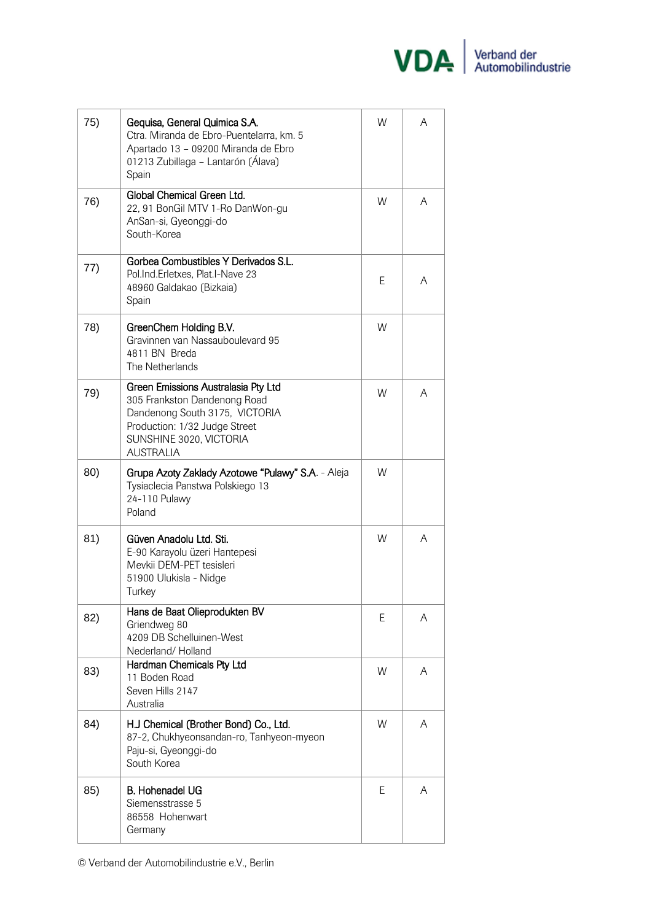

| 75) | Gequisa, General Quimica S.A.<br>Ctra. Miranda de Ebro-Puentelarra, km. 5<br>Apartado 13 - 09200 Miranda de Ebro<br>01213 Zubillaga - Lantarón (Álava)<br>Spain                              | W | A |
|-----|----------------------------------------------------------------------------------------------------------------------------------------------------------------------------------------------|---|---|
| 76) | Global Chemical Green Ltd.<br>22, 91 BonGil MTV 1-Ro DanWon-gu<br>AnSan-si, Gyeonggi-do<br>South-Korea                                                                                       | W | A |
| 77) | Gorbea Combustibles Y Derivados S.L.<br>Pol.Ind.Erletxes, Plat.I-Nave 23<br>48960 Galdakao (Bizkaia)<br>Spain                                                                                | E | A |
| 78) | GreenChem Holding B.V.<br>Gravinnen van Nassauboulevard 95<br>4811 BN Breda<br>The Netherlands                                                                                               | W |   |
| 79) | <b>Green Emissions Australasia Pty Ltd</b><br>305 Frankston Dandenong Road<br>Dandenong South 3175, VICTORIA<br>Production: 1/32 Judge Street<br>SUNSHINE 3020, VICTORIA<br><b>AUSTRALIA</b> | W | A |
| 80) | Grupa Azoty Zaklady Azotowe "Pulawy" S.A. - Aleja<br>Tysiaclecia Panstwa Polskiego 13<br>24-110 Pulawy<br>Poland                                                                             | W |   |
| 81) | Güven Anadolu Ltd. Sti.<br>E-90 Karayolu üzeri Hantepesi<br>Mevkij DFM-PFT tesisleri<br>51900 Ulukisla - Nidge<br>Turkey                                                                     | W | A |
| 82) | Hans de Baat Olieprodukten BV<br>Griendweg 80<br>4209 DB Schelluinen-West<br>Nederland/Holland                                                                                               | E | A |
| 83) | Hardman Chemicals Pty Ltd<br>11 Boden Road<br>Seven Hills 2147<br>Australia                                                                                                                  | W | A |
| 84) | H.J Chemical (Brother Bond) Co., Ltd.<br>87-2, Chukhyeonsandan-ro, Tanhyeon-myeon<br>Paju-si, Gyeonggi-do<br>South Korea                                                                     | W | A |
| 85) | <b>B.</b> Hohenadel UG<br>Siemensstrasse 5<br>86558 Hohenwart<br>Germany                                                                                                                     | E | A |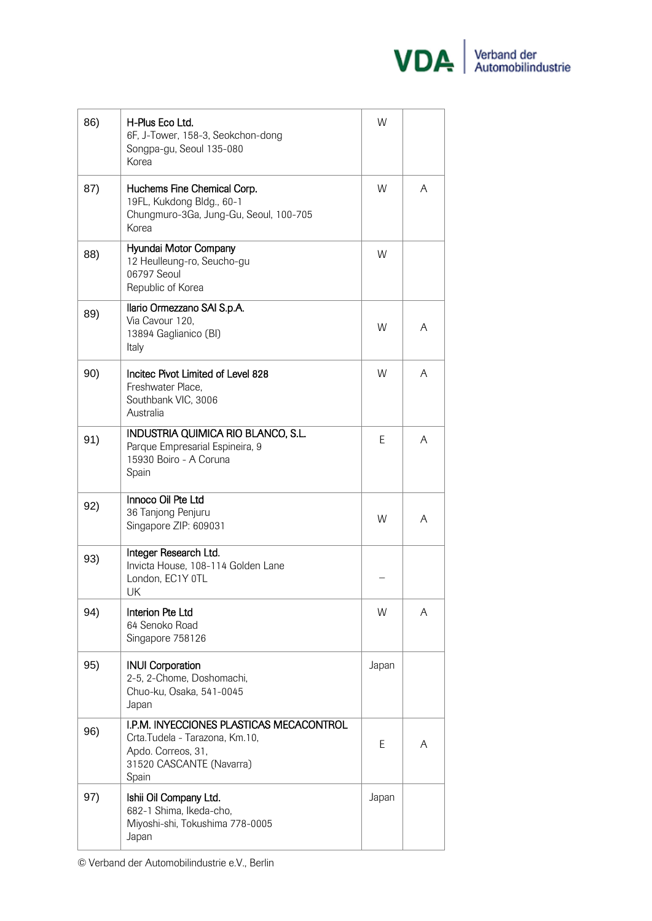

| 86) | H-Plus Eco Ltd.<br>6F, J-Tower, 158-3, Seokchon-dong<br>Songpa-gu, Seoul 135-080<br>Korea                                             | W     |   |
|-----|---------------------------------------------------------------------------------------------------------------------------------------|-------|---|
| 87) | Huchems Fine Chemical Corp.<br>19FL, Kukdong Bldg., 60-1<br>Chungmuro-3Ga, Jung-Gu, Seoul, 100-705<br>Korea                           | W     | A |
| 88) | Hyundai Motor Company<br>12 Heulleung-ro, Seucho-gu<br>06797 Seoul<br>Republic of Korea                                               | W     |   |
| 89) | Ilario Ormezzano SAI S.p.A.<br>Via Cavour 120,<br>13894 Gaglianico (BI)<br>Italy                                                      | W     | A |
| 90) | Incitec Pivot Limited of Level 828<br>Freshwater Place.<br>Southbank VIC, 3006<br>Australia                                           | W     | A |
| 91) | INDUSTRIA QUIMICA RIO BLANCO, S.L.<br>Parque Empresarial Espineira, 9<br>15930 Boiro - A Coruna<br>Spain                              | E     | A |
| 92) | Innoco Oil Pte Ltd<br>36 Tanjong Penjuru<br>Singapore ZIP: 609031                                                                     | W     | A |
| 93) | Integer Research Ltd.<br>Invicta House, 108-114 Golden Lane<br>London, EC1Y 0TL<br>UK                                                 |       |   |
| 94) | Interion Pte Ltd<br>64 Senoko Road<br>Singapore 758126                                                                                | W     | A |
| 95) | <b>INUI Corporation</b><br>2-5, 2-Chome, Doshomachi,<br>Chuo-ku, Osaka, 541-0045<br>Japan                                             | Japan |   |
| 96) | I.P.M. INYECCIONES PLASTICAS MECACONTROL<br>Crta.Tudela - Tarazona, Km.10,<br>Apdo. Correos, 31,<br>31520 CASCANTE (Navarra)<br>Spain | Ε     | A |
| 97) | Ishii Oil Company Ltd.<br>682-1 Shima, Ikeda-cho,<br>Miyoshi-shi, Tokushima 778-0005<br>Japan                                         | Japan |   |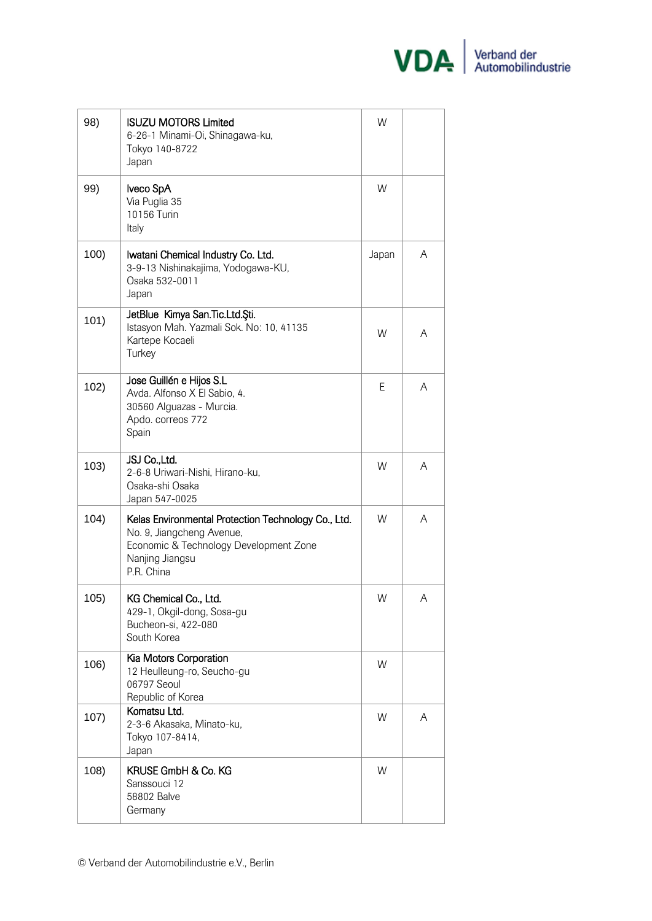

| 98)  | <b>ISUZU MOTORS Limited</b><br>6-26-1 Minami-Oi, Shinagawa-ku,<br>Tokyo 140-8722<br>Japan                                                                   | W     |   |
|------|-------------------------------------------------------------------------------------------------------------------------------------------------------------|-------|---|
| 99)  | Iveco SpA<br>Via Puglia 35<br>10156 Turin<br>Italy                                                                                                          | W     |   |
| 100) | Iwatani Chemical Industry Co. Ltd.<br>3-9-13 Nishinakajima, Yodogawa-KU,<br>Osaka 532-0011<br>Japan                                                         | Japan | A |
| 101) | JetBlue Kimya San.Tic.Ltd.Şti.<br>Istasyon Mah. Yazmali Sok. No: 10, 41135<br>Kartepe Kocaeli<br>Turkey                                                     | W     | A |
| 102) | Jose Guillén e Hijos S.L<br>Avda. Alfonso X El Sabio, 4.<br>30560 Alguazas - Murcia.<br>Apdo. correos 772<br>Spain                                          | Ε     | A |
| 103) | JSJ Co., Ltd.<br>2-6-8 Uriwari-Nishi, Hirano-ku,<br>Osaka-shi Osaka<br>Japan 547-0025                                                                       | W     | A |
| 104) | Kelas Environmental Protection Technology Co., Ltd.<br>No. 9, Jiangcheng Avenue,<br>Economic & Technology Development Zone<br>Nanjing Jiangsu<br>P.R. China | W     | A |
| 105) | KG Chemical Co., Ltd.<br>429-1, Okgil-dong, Sosa-gu<br>Bucheon-si, 422-080<br>South Korea                                                                   | W     | Α |
| 106) | Kia Motors Corporation<br>12 Heulleung-ro, Seucho-gu<br>06797 Seoul<br>Republic of Korea                                                                    | W     |   |
| 107) | Komatsu Ltd.<br>2-3-6 Akasaka, Minato-ku,<br>Tokyo 107-8414,<br>Japan                                                                                       | W     | A |
| 108) | KRUSE GmbH & Co. KG<br>Sanssouci 12<br>58802 Balve<br>Germany                                                                                               | W     |   |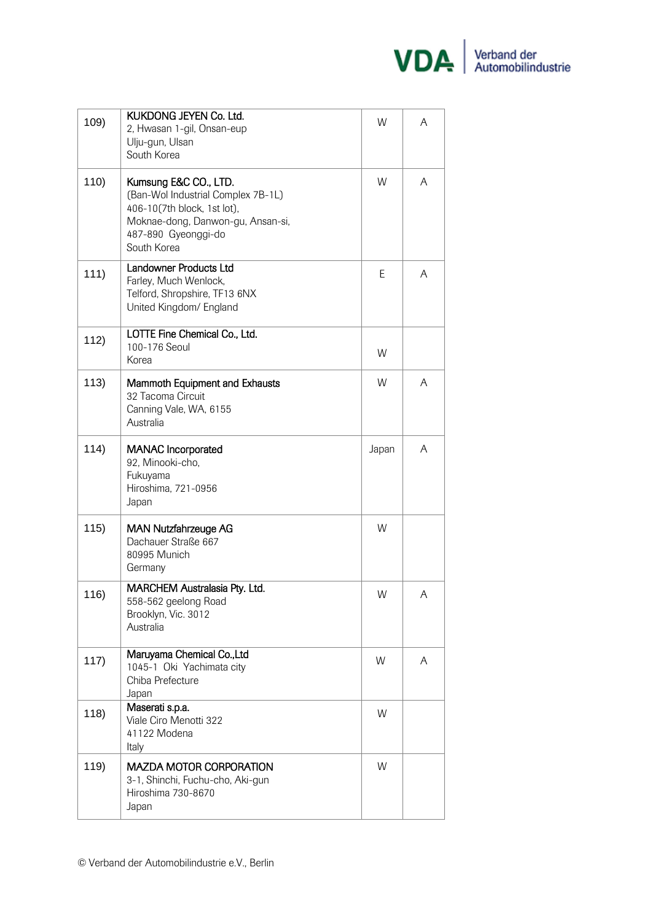

| 109) | KUKDONG JEYEN Co. Ltd.<br>2, Hwasan 1-gil, Onsan-eup<br>Ulju-gun, Ulsan<br>South Korea                                                                                | W     | A |
|------|-----------------------------------------------------------------------------------------------------------------------------------------------------------------------|-------|---|
| 110) | Kumsung E&C CO., LTD.<br>(Ban-Wol Industrial Complex 7B-1L)<br>406-10(7th block, 1st lot),<br>Moknae-dong, Danwon-gu, Ansan-si,<br>487-890 Gyeonggi-do<br>South Korea | W     | A |
| 111) | Landowner Products Ltd<br>Farley, Much Wenlock,<br>Telford, Shropshire, TF13 6NX<br>United Kingdom/ England                                                           | Е     | A |
| 112) | LOTTE Fine Chemical Co., Ltd.<br>100-176 Seoul<br>Korea                                                                                                               | W     |   |
| 113) | Mammoth Equipment and Exhausts<br>32 Tacoma Circuit<br>Canning Vale, WA, 6155<br>Australia                                                                            | W     | A |
| 114) | <b>MANAC</b> Incorporated<br>92, Minooki-cho,<br>Fukuyama<br>Hiroshima, 721-0956<br>Japan                                                                             | Japan | A |
| 115) | <b>MAN Nutzfahrzeuge AG</b><br>Dachauer Straße 667<br>80995 Munich<br>Germany                                                                                         | W     |   |
| 116) | MARCHEM Australasia Pty. Ltd.<br>558-562 geelong Road<br>Brooklyn, Vic. 3012<br>Australia                                                                             | W     | Α |
| 117) | Maruyama Chemical Co., Ltd<br>1045-1 Oki Yachimata city<br>Chiba Prefecture<br>Japan                                                                                  | W     | A |
| 118) | Maserati s.p.a.<br>Viale Ciro Menotti 322<br>41122 Modena<br>Italy                                                                                                    | W     |   |
| 119) | <b>MAZDA MOTOR CORPORATION</b><br>3-1, Shinchi, Fuchu-cho, Aki-gun<br>Hiroshima 730-8670<br>Japan                                                                     | W     |   |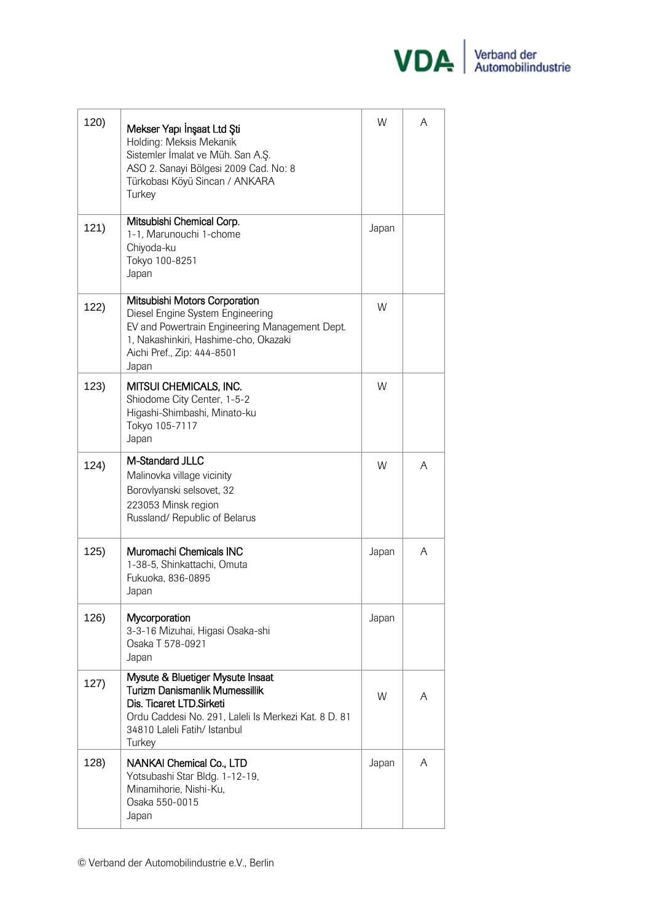

| 120) | Mekser Yapı İnşaat Ltd Şti<br>Holding: Meksis Mekanik<br>Sistemler İmalat ve Müh. San A.Ş.<br>ASO 2. Sanayi Bölgesi 2009 Cad. No: 8<br>Türkobası Köyü Sincan / ANKARA<br>Turkey                          | W     | A |
|------|----------------------------------------------------------------------------------------------------------------------------------------------------------------------------------------------------------|-------|---|
| 121) | Mitsubishi Chemical Corp.<br>1-1, Marunouchi 1-chome<br>Chiyoda-ku<br>Tokyo 100-8251<br>Japan                                                                                                            | Japan |   |
| 122) | Mitsubishi Motors Corporation<br>Diesel Engine System Engineering<br>EV and Powertrain Engineering Management Dept.<br>1, Nakashinkiri, Hashime-cho, Okazaki<br>Aichi Pref., Zip: 444-8501<br>Japan      | W     |   |
| 123) | MITSUI CHEMICALS, INC.<br>Shiodome City Center, 1-5-2<br>Higashi-Shimbashi, Minato-ku<br>Tokyo 105-7117<br>Japan                                                                                         | W     |   |
| 124) | M-Standard JLLC<br>Malinovka village vicinity<br>Borovlyanski selsovet, 32<br>223053 Minsk region<br>Russland/ Republic of Belarus                                                                       | W     | A |
| 125) | Muromachi Chemicals INC<br>1-38-5, Shinkattachi, Omuta<br>Fukuoka, 836-0895<br>Japan                                                                                                                     | Japan | A |
| 126) | Mycorporation<br>3-3-16 Mizuhai, Higasi Osaka-shi<br>Osaka T 578-0921<br>Japan                                                                                                                           | Japan |   |
| 127) | Mysute & Bluetiger Mysute Insaat<br><b>Turizm Danismanlik Mumessillik</b><br>Dis. Ticaret LTD. Sirketi<br>Ordu Caddesi No. 291, Laleli Is Merkezi Kat. 8 D. 81<br>34810 Laleli Fatih/ Istanbul<br>Turkey | W     | A |
| 128) | NANKAI Chemical Co., LTD<br>Yotsubashi Star Bldg. 1-12-19,<br>Minamihorie, Nishi-Ku,<br>Osaka 550-0015<br>Japan                                                                                          | Japan | A |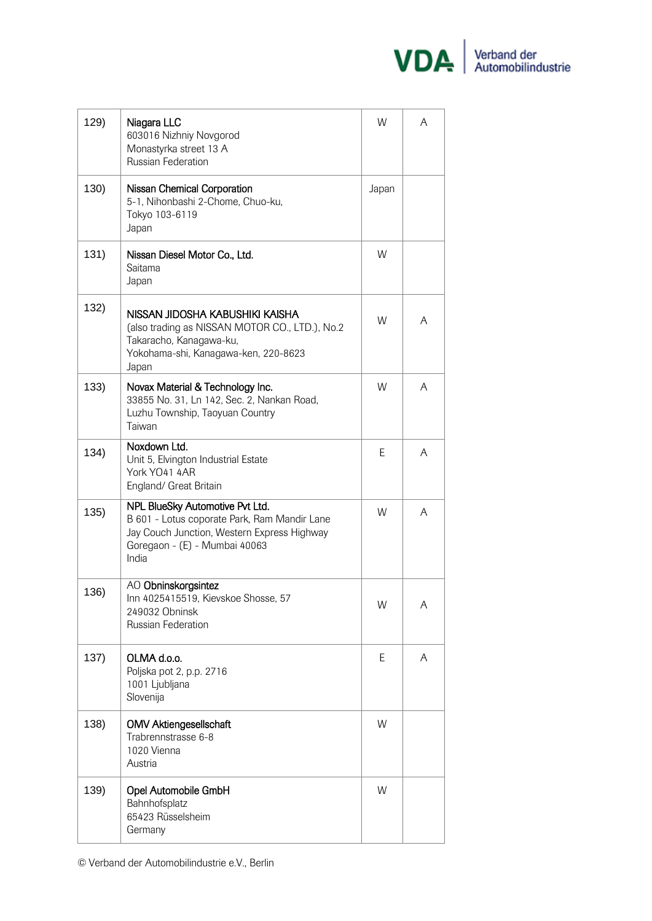

| 129) | Niagara LLC<br>603016 Nizhniy Novgorod<br>Monastyrka street 13 A<br>Russian Federation                                                                                   | W     | A |
|------|--------------------------------------------------------------------------------------------------------------------------------------------------------------------------|-------|---|
| 130) | Nissan Chemical Corporation<br>5-1, Nihonbashi 2-Chome, Chuo-ku,<br>Tokyo 103-6119<br>Japan                                                                              | Japan |   |
| 131) | Nissan Diesel Motor Co., Ltd.<br>Saitama<br>Japan                                                                                                                        | W     |   |
| 132) | NISSAN JIDOSHA KABUSHIKI KAISHA<br>(also trading as NISSAN MOTOR CO., LTD.), No.2<br>Takaracho, Kanagawa-ku,<br>Yokohama-shi, Kanagawa-ken, 220-8623<br>Japan            | W     | A |
| 133) | Novax Material & Technology Inc.<br>33855 No. 31, Ln 142, Sec. 2, Nankan Road,<br>Luzhu Township, Taoyuan Country<br>Taiwan                                              | W     | A |
| 134) | Noxdown Ltd.<br>Unit 5, Elvington Industrial Estate<br>York YO41 4AR<br>England/ Great Britain                                                                           | E     | A |
| 135) | NPL BlueSky Automotive Pvt Ltd.<br>B 601 - Lotus coporate Park, Ram Mandir Lane<br>Jay Couch Junction, Western Express Highway<br>Goregaon - (E) - Mumbai 40063<br>India | W     | A |
| 136) | AO Obninskorgsintez<br>Inn 4025415519, Kievskoe Shosse, 57<br>249032 Obninsk<br>Russian Federation                                                                       | W     | A |
| 137) | OLMA d.o.o.<br>Poljska pot 2, p.p. 2716<br>1001 Ljubljana<br>Slovenija                                                                                                   | E.    | A |
| 138) | <b>OMV Aktiengesellschaft</b><br>Trabrennstrasse 6-8<br>1020 Vienna<br>Austria                                                                                           | W     |   |
| 139) | Opel Automobile GmbH<br>Bahnhofsplatz<br>65423 Rüsselsheim<br>Germany                                                                                                    | W     |   |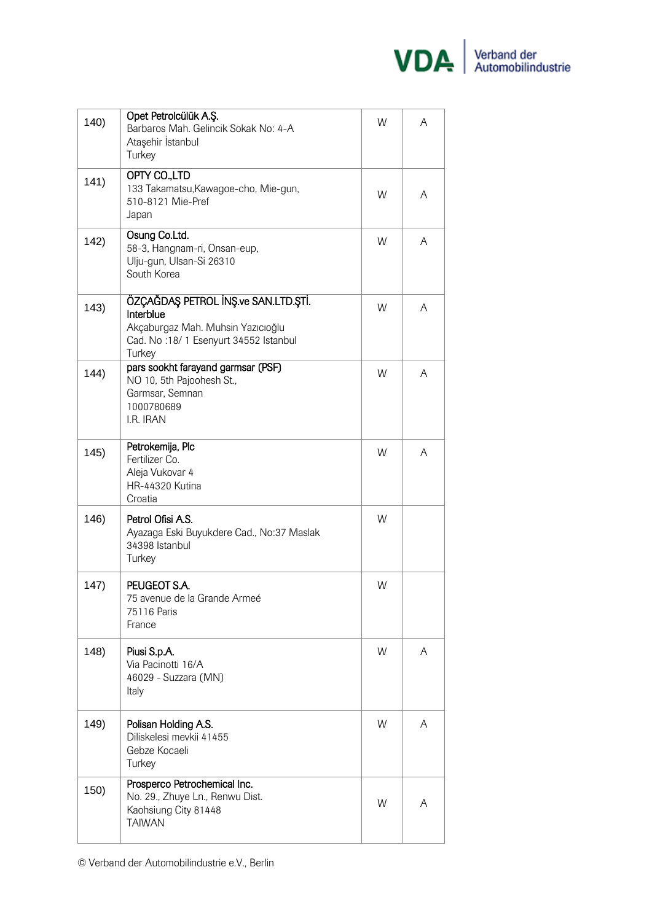

| 140) | Opet Petrolcülük A.Ş.<br>Barbaros Mah. Gelincik Sokak No: 4-A<br>Ataşehir İstanbul<br>Turkey                                            | W | A |
|------|-----------------------------------------------------------------------------------------------------------------------------------------|---|---|
| 141) | OPTY CO.,LTD<br>133 Takamatsu, Kawagoe-cho, Mie-gun,<br>510-8121 Mie-Pref<br>Japan                                                      | W | A |
| 142) | Osung Co.Ltd.<br>58-3, Hangnam-ri, Onsan-eup,<br>Ulju-gun, Ulsan-Si 26310<br>South Korea                                                | W | A |
| 143) | ÖZÇAĞDAŞ PETROL İNŞ.ve SAN.LTD.ŞTİ.<br>Interblue<br>Akçaburgaz Mah. Muhsin Yazıcıoğlu<br>Cad. No:18/1 Esenyurt 34552 Istanbul<br>Turkey | W | A |
| 144) | pars sookht farayand garmsar (PSF)<br>NO 10, 5th Pajoohesh St.,<br>Garmsar, Semnan<br>1000780689<br>I.R. IRAN                           | W | A |
| 145) | Petrokemija, Plc<br>Fertilizer Co.<br>Aleja Vukovar 4<br>HR-44320 Kutina<br>Croatia                                                     | W | A |
| 146) | Petrol Ofisi A.S.<br>Ayazaga Eski Buyukdere Cad., No:37 Maslak<br>34398 Istanbul<br>Turkey                                              | W |   |
| 147) | PEUGEOT S.A.<br>75 avenue de la Grande Armeé<br>75116 Paris<br>France                                                                   | W |   |
| 148) | Piusi S.p.A.<br>Via Pacinotti 16/A<br>46029 - Suzzara (MN)<br>Italy                                                                     | W | A |
| 149) | Polisan Holding A.S.<br>Diliskelesi mevkii 41455<br>Gebze Kocaeli<br>Turkey                                                             | W | A |
| 150) | Prosperco Petrochemical Inc.<br>No. 29., Zhuye Ln., Renwu Dist.<br>Kaohsiung City 81448<br><b>TAIWAN</b>                                | W | A |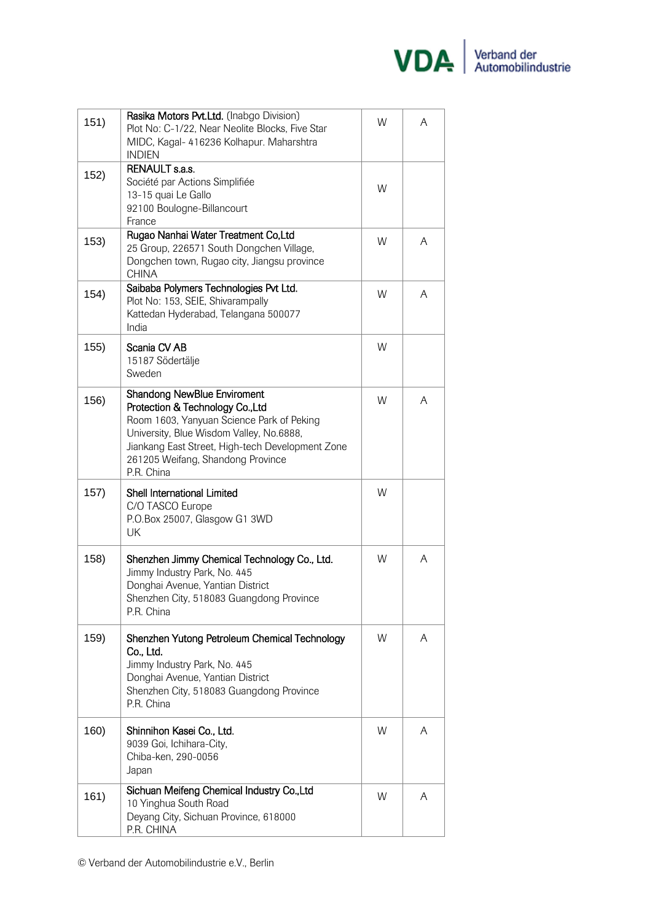

| 151) | Rasika Motors Pvt.Ltd. (Inabgo Division)<br>Plot No: C-1/22, Near Neolite Blocks, Five Star<br>MIDC, Kagal- 416236 Kolhapur. Maharshtra<br><b>INDIEN</b>                                                                                                               | W | A |
|------|------------------------------------------------------------------------------------------------------------------------------------------------------------------------------------------------------------------------------------------------------------------------|---|---|
| 152) | <b>RENAULT s.a.s.</b><br>Société par Actions Simplifiée<br>13-15 quai Le Gallo<br>92100 Boulogne-Billancourt<br>France                                                                                                                                                 | W |   |
| 153) | Rugao Nanhai Water Treatment Co, Ltd<br>25 Group, 226571 South Dongchen Village,<br>Dongchen town, Rugao city, Jiangsu province<br><b>CHINA</b>                                                                                                                        | W | A |
| 154) | Saibaba Polymers Technologies Pvt Ltd.<br>Plot No: 153, SEIE, Shivarampally<br>Kattedan Hyderabad, Telangana 500077<br>India                                                                                                                                           | W | A |
| 155) | Scania CV AB<br>15187 Södertälje<br>Sweden                                                                                                                                                                                                                             | W |   |
| 156) | <b>Shandong NewBlue Enviroment</b><br>Protection & Technology Co., Ltd<br>Room 1603, Yanyuan Science Park of Peking<br>University, Blue Wisdom Valley, No.6888,<br>Jiankang East Street, High-tech Development Zone<br>261205 Weifang, Shandong Province<br>P.R. China | W | A |
| 157) | <b>Shell International Limited</b><br>C/O TASCO Europe<br>P.O.Box 25007, Glasgow G1 3WD<br>UK                                                                                                                                                                          | W |   |
| 158) | Shenzhen Jimmy Chemical Technology Co., Ltd.<br>Jimmy Industry Park, No. 445<br>Donghai Avenue, Yantian District<br>Shenzhen City, 518083 Guangdong Province<br>P.R. China                                                                                             | W | A |
| 159) | Shenzhen Yutong Petroleum Chemical Technology<br>Co., Ltd.<br>Jimmy Industry Park, No. 445<br>Donghai Avenue, Yantian District<br>Shenzhen City, 518083 Guangdong Province<br>P.R. China                                                                               | W | A |
| 160) | Shinnihon Kasei Co., Ltd.<br>9039 Goi, Ichihara-City,<br>Chiba-ken, 290-0056<br>Japan                                                                                                                                                                                  | W | A |
| 161) | Sichuan Meifeng Chemical Industry Co., Ltd<br>10 Yinghua South Road<br>Deyang City, Sichuan Province, 618000<br>P.R. CHINA                                                                                                                                             | W | A |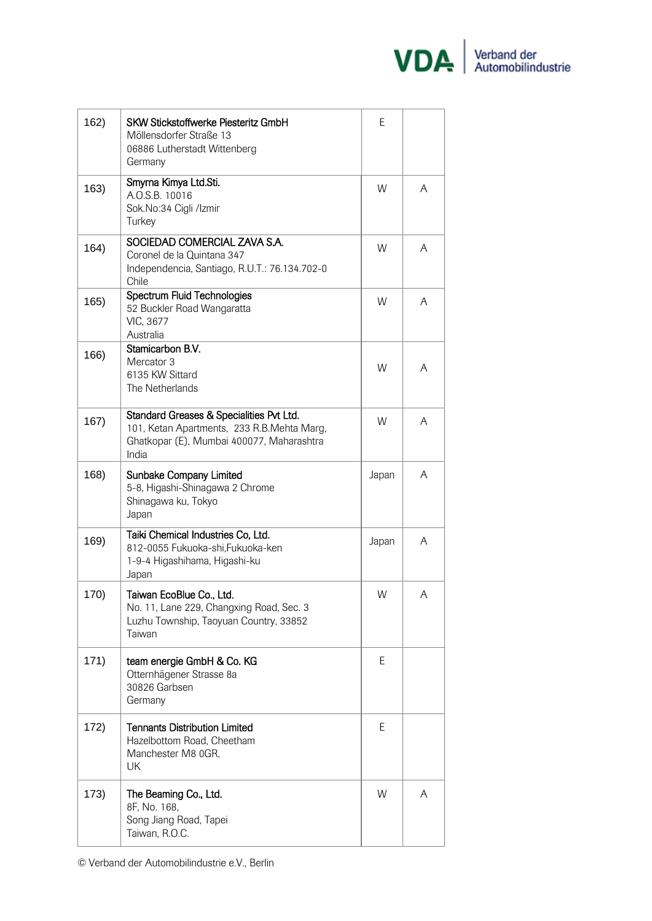

| 162) | <b>SKW Stickstoffwerke Piesteritz GmbH</b><br>Möllensdorfer Straße 13<br>06886 Lutherstadt Wittenberg<br>Germany                             | E     |   |
|------|----------------------------------------------------------------------------------------------------------------------------------------------|-------|---|
| 163) | Smyrna Kimya Ltd.Sti.<br>A.O.S.B. 10016<br>Sok.No:34 Cigli /Izmir<br>Turkey                                                                  | W     | A |
| 164) | SOCIEDAD COMERCIAL ZAVA S.A.<br>Coronel de la Quintana 347<br>Independencia, Santiago, R.U.T.: 76.134.702-0<br>Chile                         | W     | A |
| 165) | Spectrum Fluid Technologies<br>52 Buckler Road Wangaratta<br>VIC, 3677<br>Australia                                                          | W     | A |
| 166) | Stamicarbon B.V.<br>Mercator 3<br>6135 KW Sittard<br>The Netherlands                                                                         | W     | A |
| 167) | Standard Greases & Specialities Pvt Ltd.<br>101, Ketan Apartments, 233 R.B.Mehta Marg,<br>Ghatkopar (E), Mumbai 400077, Maharashtra<br>India | W     | A |
| 168) | <b>Sunbake Company Limited</b><br>5-8, Higashi-Shinagawa 2 Chrome<br>Shinagawa ku, Tokyo<br>Japan                                            | Japan | A |
| 169) | Taiki Chemical Industries Co, Ltd.<br>812-0055 Fukuoka-shi, Fukuoka-ken<br>1-9-4 Higashihama, Higashi-ku<br>Japan                            | Japan | A |
| 170) | Taiwan EcoBlue Co., Ltd.<br>No. 11, Lane 229, Changxing Road, Sec. 3<br>Luzhu Township, Taoyuan Country, 33852<br>Taiwan                     | W     | A |
| 171) | team energie GmbH & Co. KG<br>Otternhägener Strasse 8a<br>30826 Garbsen<br>Germany                                                           | E     |   |
| 172) | <b>Tennants Distribution Limited</b><br>Hazelbottom Road, Cheetham<br>Manchester M8 0GR,<br>UK                                               | Ε     |   |
| 173) | The Beaming Co., Ltd.<br>8F, No. 168,<br>Song Jiang Road, Tapei<br>Taiwan, R.O.C.                                                            | W     | A |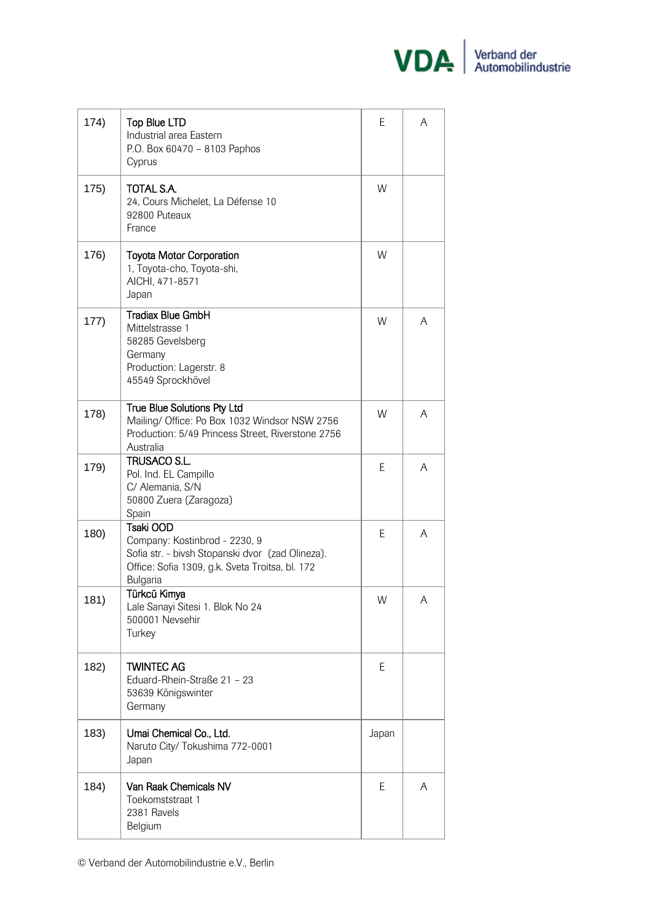

| 174) | Top Blue LTD<br>Industrial area Eastern<br>P.O. Box 60470 - 8103 Paphos<br>Cyprus                                                                             | E     | A |
|------|---------------------------------------------------------------------------------------------------------------------------------------------------------------|-------|---|
| 175) | TOTAL S.A.<br>24, Cours Michelet, La Défense 10<br>92800 Puteaux<br>France                                                                                    | W     |   |
| 176) | <b>Toyota Motor Corporation</b><br>1, Toyota-cho, Toyota-shi,<br>AICHI, 471-8571<br>Japan                                                                     | W     |   |
| 177) | <b>Tradiax Blue GmbH</b><br>Mittelstrasse 1<br>58285 Gevelsberg<br>Germany<br>Production: Lagerstr. 8<br>45549 Sprockhövel                                    | W     | A |
| 178) | True Blue Solutions Pty Ltd<br>Mailing/ Office: Po Box 1032 Windsor NSW 2756<br>Production: 5/49 Princess Street, Riverstone 2756<br>Australia                | W     | A |
| 179) | TRUSACO S.L.<br>Pol. Ind. EL Campillo<br>C/ Alemania, S/N<br>50800 Zuera (Zaragoza)<br>Spain                                                                  | E     | A |
| 180) | Tsaki OOD<br>Company: Kostinbrod - 2230, 9<br>Sofia str. - bivsh Stopanski dvor (zad Olineza).<br>Office: Sofia 1309, g.k. Sveta Troitsa, bl. 172<br>Bulgaria | E     | A |
| 181) | Türkcü Kimya<br>Lale Sanayi Sitesi 1. Blok No 24<br>500001 Nevsehir<br>Turkey                                                                                 | W     | Α |
| 182) | <b>TWINTEC AG</b><br>Eduard-Rhein-Straße 21 - 23<br>53639 Königswinter<br>Germany                                                                             | E     |   |
| 183) | Umai Chemical Co., Ltd.<br>Naruto City/ Tokushima 772-0001<br>Japan                                                                                           | Japan |   |
| 184) | Van Raak Chemicals NV<br>Toekomststraat 1<br>2381 Ravels<br>Belgium                                                                                           | E     | A |